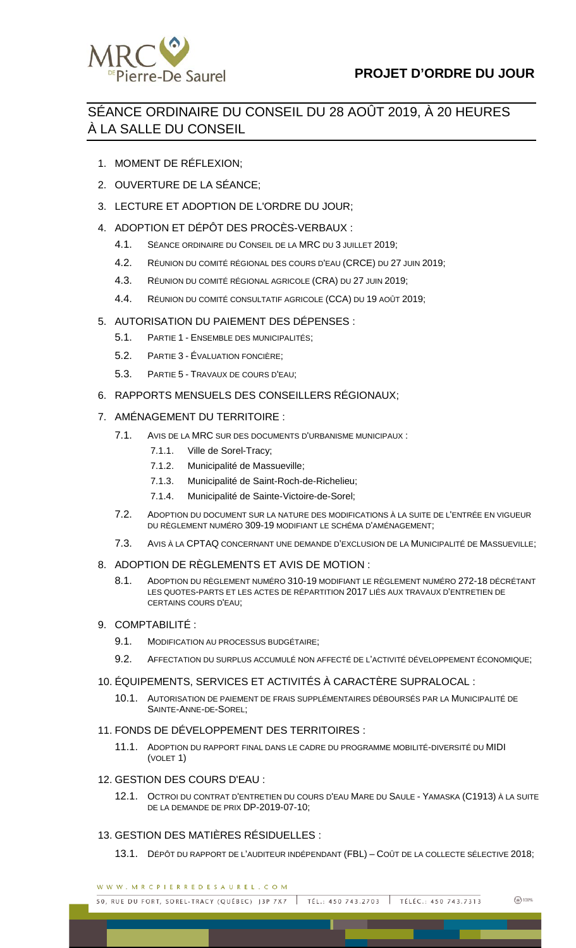

# SÉANCE ORDINAIRE DU CONSEIL DU 28 AOÛT 2019, À 20 HEURES À LA SALLE DU CONSEIL

- 1. MOMENT DE RÉFLEXION;
- 2. OUVERTURE DE LA SÉANCE;
- 3. LECTURE ET ADOPTION DE L'ORDRE DU JOUR;
- 4. ADOPTION ET DÉPÔT DES PROCÈS-VERBAUX :
	- 4.1. SÉANCE ORDINAIRE DU CONSEIL DE LA MRC DU 3 JUILLET 2019;
	- 4.2. RÉUNION DU COMITÉ RÉGIONAL DES COURS D'EAU (CRCE) DU 27 JUIN 2019;
	- 4.3. RÉUNION DU COMITÉ RÉGIONAL AGRICOLE (CRA) DU 27 JUIN 2019;
	- 4.4. RÉUNION DU COMITÉ CONSULTATIF AGRICOLE (CCA) DU 19 AOÛT 2019;

# 5. AUTORISATION DU PAIEMENT DES DÉPENSES :

- 5.1. PARTIE 1 ENSEMBLE DES MUNICIPALITÉS;
- 5.2. PARTIE 3 ÉVALUATION FONCIÈRE;
- 5.3. PARTIE 5 TRAVAUX DE COURS D'EAU;
- 6. RAPPORTS MENSUELS DES CONSEILLERS RÉGIONAUX;

# 7. AMÉNAGEMENT DU TERRITOIRE :

- 7.1. AVIS DE LA MRC SUR DES DOCUMENTS D'URBANISME MUNICIPAUX :
	- 7.1.1. Ville de Sorel-Tracy;
	- 7.1.2. Municipalité de Massueville;
	- 7.1.3. Municipalité de Saint-Roch-de-Richelieu;
	- 7.1.4. Municipalité de Sainte-Victoire-de-Sorel;
- 7.2. ADOPTION DU DOCUMENT SUR LA NATURE DES MODIFICATIONS À LA SUITE DE L'ENTRÉE EN VIGUEUR DU RÈGLEMENT NUMÉRO 309-19 MODIFIANT LE SCHÉMA D'AMÉNAGEMENT;
- 7.3. AVIS À LA CPTAQ CONCERNANT UNE DEMANDE D'EXCLUSION DE LA MUNICIPALITÉ DE MASSUEVILLE;

### 8. ADOPTION DE RÈGLEMENTS ET AVIS DE MOTION :

8.1. ADOPTION DU RÈGLEMENT NUMÉRO 310-19 MODIFIANT LE RÈGLEMENT NUMÉRO 272-18 DÉCRÉTANT LES QUOTES-PARTS ET LES ACTES DE RÉPARTITION 2017 LIÉS AUX TRAVAUX D'ENTRETIEN DE CERTAINS COURS D'EAU;

### 9. COMPTABILITÉ :

- 9.1. MODIFICATION AU PROCESSUS BUDGÉTAIRE;
- 9.2. AFFECTATION DU SURPLUS ACCUMULÉ NON AFFECTÉ DE L'ACTIVITÉ DÉVELOPPEMENT ÉCONOMIQUE;

### 10. ÉQUIPEMENTS, SERVICES ET ACTIVITÉS À CARACTÈRE SUPRALOCAL :

10.1. AUTORISATION DE PAIEMENT DE FRAIS SUPPLÉMENTAIRES DÉBOURSÉS PAR LA MUNICIPALITÉ DE SAINTE-ANNE-DE-SOREL;

### 11. FONDS DE DÉVELOPPEMENT DES TERRITOIRES :

11.1. ADOPTION DU RAPPORT FINAL DANS LE CADRE DU PROGRAMME MOBILITÉ-DIVERSITÉ DU MIDI (VOLET 1)

### 12. GESTION DES COURS D'EAU :

12.1. OCTROI DU CONTRAT D'ENTRETIEN DU COURS D'EAU MARE DU SAULE - YAMASKA (C1913) À LA SUITE DE LA DEMANDE DE PRIX DP-2019-07-10;

# 13. GESTION DES MATIÈRES RÉSIDUELLES :

13.1. DÉPÔT DU RAPPORT DE L'AUDITEUR INDÉPENDANT (FBL) – COÛT DE LA COLLECTE SÉLECTIVE 2018;

WWW.MRCPIERREDESAUREL.COM